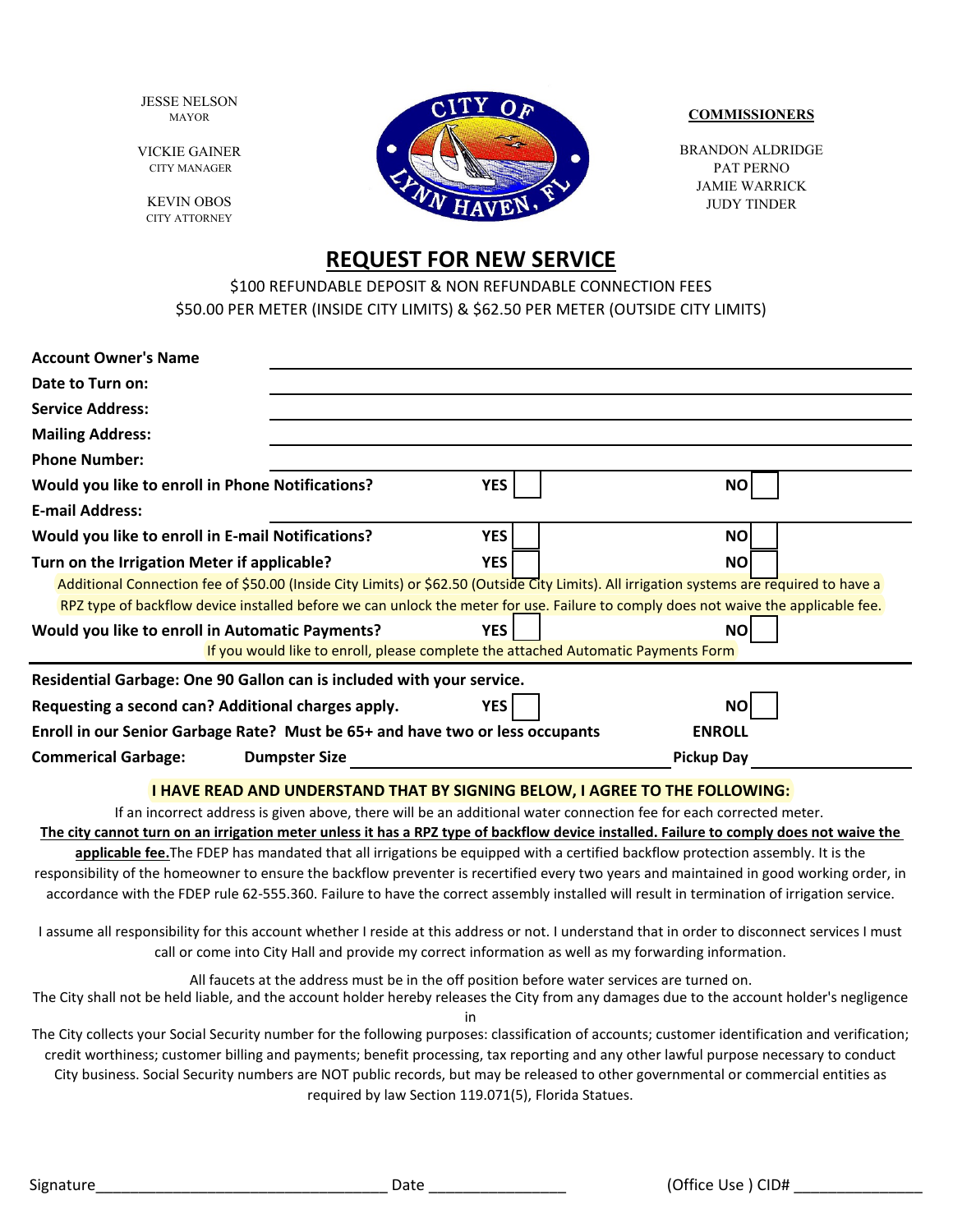JESSE NELSON MAYOR

VICKIE GAINER CITY MANAGER

KEVIN OBOS CITY ATTORNEY



#### **COMMISSIONERS**

BRANDON ALDRIDGE PAT PERNO JAMIE WARRICK JUDY TINDER

# **REQUEST FOR NEW SERVICE**

\$100 REFUNDABLE DEPOSIT & NON REFUNDABLE CONNECTION FEES \$50.00 PER METER (INSIDE CITY LIMITS) & \$62.50 PER METER (OUTSIDE CITY LIMITS)

| <b>Account Owner's Name</b>                                                                                                               |            |  |  |
|-------------------------------------------------------------------------------------------------------------------------------------------|------------|--|--|
| Date to Turn on:                                                                                                                          |            |  |  |
| <b>Service Address:</b>                                                                                                                   |            |  |  |
| <b>Mailing Address:</b>                                                                                                                   |            |  |  |
| <b>Phone Number:</b>                                                                                                                      |            |  |  |
| <b>YES</b><br>Would you like to enroll in Phone Notifications?                                                                            | <b>NO</b>  |  |  |
| <b>E-mail Address:</b>                                                                                                                    |            |  |  |
| Would you like to enroll in E-mail Notifications?<br><b>YES</b>                                                                           | <b>NO</b>  |  |  |
| YES<br>Turn on the Irrigation Meter if applicable?                                                                                        | <b>NO</b>  |  |  |
| Additional Connection fee of \$50.00 (Inside City Limits) or \$62.50 (Outside City Limits). All irrigation systems are required to have a |            |  |  |
| RPZ type of backflow device installed before we can unlock the meter for use. Failure to comply does not waive the applicable fee.        |            |  |  |
| <b>YES</b><br>Would you like to enroll in Automatic Payments?                                                                             | ΝO         |  |  |
| If you would like to enroll, please complete the attached Automatic Payments Form                                                         |            |  |  |
| Residential Garbage: One 90 Gallon can is included with your service.                                                                     |            |  |  |
| Requesting a second can? Additional charges apply.<br>YES                                                                                 | <b>NO</b>  |  |  |
| Enroll in our Senior Garbage Rate? Must be 65+ and have two or less occupants<br><b>ENROLL</b>                                            |            |  |  |
| <b>Commerical Garbage:</b><br><b>Dumpster Size</b>                                                                                        | Pickup Day |  |  |
|                                                                                                                                           |            |  |  |

## **I HAVE READ AND UNDERSTAND THAT BY SIGNING BELOW, I AGREE TO THE FOLLOWING:**

If an incorrect address is given above, there will be an additional water connection fee for each corrected meter.

**The city cannot turn on an irrigation meter unless it has a RPZ type of backflow device installed. Failure to comply does not waive the applicable fee.**The FDEP has mandated that all irrigations be equipped with a certified backflow protection assembly. It is the responsibility of the homeowner to ensure the backflow preventer is recertified every two years and maintained in good working order, in accordance with the FDEP rule 62-555.360. Failure to have the correct assembly installed will result in termination of irrigation service.

I assume all responsibility for this account whether I reside at this address or not. I understand that in order to disconnect services I must call or come into City Hall and provide my correct information as well as my forwarding information.

All faucets at the address must be in the off position before water services are turned on.

The City shall not be held liable, and the account holder hereby releases the City from any damages due to the account holder's negligence in

The City collects your Social Security number for the following purposes: classification of accounts; customer identification and verification; credit worthiness; customer billing and payments; benefit processing, tax reporting and any other lawful purpose necessary to conduct City business. Social Security numbers are NOT public records, but may be released to other governmental or commercial entities as required by law Section 119.071(5), Florida Statues.